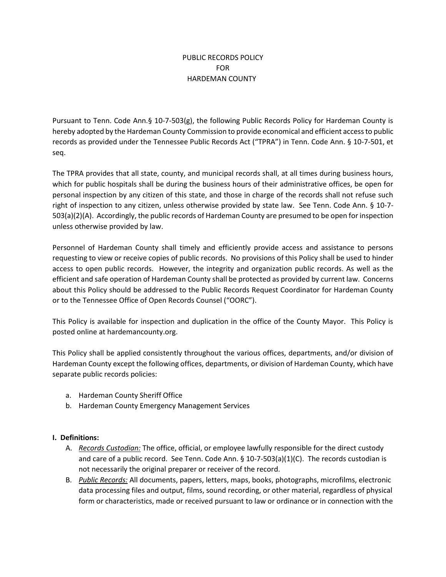# PUBLIC RECORDS POLICY FOR HARDEMAN COUNTY

Pursuant to Tenn. Code Ann.§ 10-7-503(g), the following Public Records Policy for Hardeman County is hereby adopted by the Hardeman County Commission to provide economical and efficient accessto public records as provided under the Tennessee Public Records Act ("TPRA") in Tenn. Code Ann. § 10-7-501, et seq.

The TPRA provides that all state, county, and municipal records shall, at all times during business hours, which for public hospitals shall be during the business hours of their administrative offices, be open for personal inspection by any citizen of this state, and those in charge of the records shall not refuse such right of inspection to any citizen, unless otherwise provided by state law. See Tenn. Code Ann. § 10-7- 503(a)(2)(A). Accordingly, the public records of Hardeman County are presumed to be open for inspection unless otherwise provided by law.

Personnel of Hardeman County shall timely and efficiently provide access and assistance to persons requesting to view or receive copies of public records. No provisions of this Policy shall be used to hinder access to open public records. However, the integrity and organization public records. As well as the efficient and safe operation of Hardeman County shall be protected as provided by current law. Concerns about this Policy should be addressed to the Public Records Request Coordinator for Hardeman County or to the Tennessee Office of Open Records Counsel ("OORC").

This Policy is available for inspection and duplication in the office of the County Mayor. This Policy is posted online at hardemancounty.org.

This Policy shall be applied consistently throughout the various offices, departments, and/or division of Hardeman County except the following offices, departments, or division of Hardeman County, which have separate public records policies:

- a. Hardeman County Sheriff Office
- b. Hardeman County Emergency Management Services

### **I. Definitions:**

- A. *Records Custodian:* The office, official, or employee lawfully responsible for the direct custody and care of a public record. See Tenn. Code Ann. § 10-7-503(a)(1)(C). The records custodian is not necessarily the original preparer or receiver of the record.
- B. *Public Records:* All documents, papers, letters, maps, books, photographs, microfilms, electronic data processing files and output, films, sound recording, or other material, regardless of physical form or characteristics, made or received pursuant to law or ordinance or in connection with the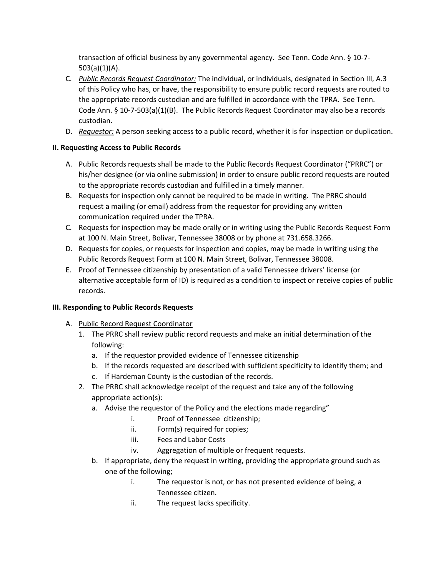transaction of official business by any governmental agency. See Tenn. Code Ann. § 10-7-  $503(a)(1)(A)$ .

- C. *Public Records Request Coordinator:* The individual, or individuals, designated in Section III, A.3 of this Policy who has, or have, the responsibility to ensure public record requests are routed to the appropriate records custodian and are fulfilled in accordance with the TPRA. See Tenn. Code Ann. § 10-7-503(a)(1)(B). The Public Records Request Coordinator may also be a records custodian.
- D. *Requestor:* A person seeking access to a public record, whether it is for inspection or duplication.

# **II. Requesting Access to Public Records**

- A. Public Records requests shall be made to the Public Records Request Coordinator ("PRRC") or his/her designee (or via online submission) in order to ensure public record requests are routed to the appropriate records custodian and fulfilled in a timely manner.
- B. Requests for inspection only cannot be required to be made in writing. The PRRC should request a mailing (or email) address from the requestor for providing any written communication required under the TPRA.
- C. Requests for inspection may be made orally or in writing using the Public Records Request Form at 100 N. Main Street, Bolivar, Tennessee 38008 or by phone at 731.658.3266.
- D. Requests for copies, or requests for inspection and copies, may be made in writing using the Public Records Request Form at 100 N. Main Street, Bolivar, Tennessee 38008.
- E. Proof of Tennessee citizenship by presentation of a valid Tennessee drivers' license (or alternative acceptable form of ID) is required as a condition to inspect or receive copies of public records.

### **III. Responding to Public Records Requests**

- A. Public Record Request Coordinator
	- 1. The PRRC shall review public record requests and make an initial determination of the following:
		- a. If the requestor provided evidence of Tennessee citizenship
		- b. If the records requested are described with sufficient specificity to identify them; and
		- c. If Hardeman County is the custodian of the records.
	- 2. The PRRC shall acknowledge receipt of the request and take any of the following appropriate action(s):
		- a. Advise the requestor of the Policy and the elections made regarding"
			- i. Proof of Tennessee citizenship;
			- ii. Form(s) required for copies;
			- iii. Fees and Labor Costs
			- iv. Aggregation of multiple or frequent requests.
		- b. If appropriate, deny the request in writing, providing the appropriate ground such as one of the following;
			- i. The requestor is not, or has not presented evidence of being, a Tennessee citizen.
			- ii. The request lacks specificity.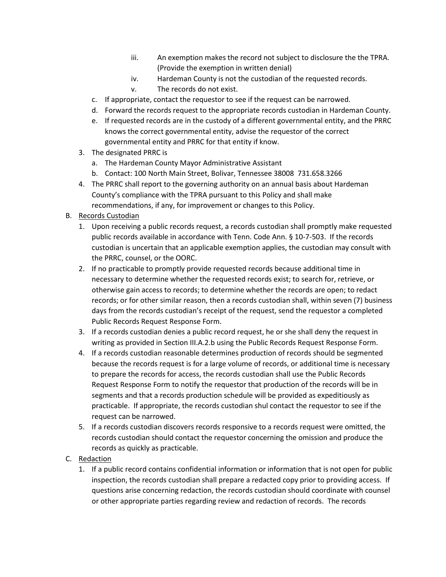- iii. An exemption makes the record not subject to disclosure the the TPRA. (Provide the exemption in written denial)
- iv. Hardeman County is not the custodian of the requested records.
- v. The records do not exist.
- c. If appropriate, contact the requestor to see if the request can be narrowed.
- d. Forward the records request to the appropriate records custodian in Hardeman County.
- e. If requested records are in the custody of a different governmental entity, and the PRRC knows the correct governmental entity, advise the requestor of the correct governmental entity and PRRC for that entity if know.
- 3. The designated PRRC is
	- a. The Hardeman County Mayor Administrative Assistant
	- b. Contact: 100 North Main Street, Bolivar, Tennessee 38008 731.658.3266
- 4. The PRRC shall report to the governing authority on an annual basis about Hardeman County's compliance with the TPRA pursuant to this Policy and shall make recommendations, if any, for improvement or changes to this Policy.

### B. Records Custodian

- 1. Upon receiving a public records request, a records custodian shall promptly make requested public records available in accordance with Tenn. Code Ann. § 10-7-503. If the records custodian is uncertain that an applicable exemption applies, the custodian may consult with the PRRC, counsel, or the OORC.
- 2. If no practicable to promptly provide requested records because additional time in necessary to determine whether the requested records exist; to search for, retrieve, or otherwise gain access to records; to determine whether the records are open; to redact records; or for other similar reason, then a records custodian shall, within seven (7) business days from the records custodian's receipt of the request, send the requestor a completed Public Records Request Response Form.
- 3. If a records custodian denies a public record request, he or she shall deny the request in writing as provided in Section III.A.2.b using the Public Records Request Response Form.
- 4. If a records custodian reasonable determines production of records should be segmented because the records request is for a large volume of records, or additional time is necessary to prepare the records for access, the records custodian shall use the Public Records Request Response Form to notify the requestor that production of the records will be in segments and that a records production schedule will be provided as expeditiously as practicable. If appropriate, the records custodian shul contact the requestor to see if the request can be narrowed.
- 5. If a records custodian discovers records responsive to a records request were omitted, the records custodian should contact the requestor concerning the omission and produce the records as quickly as practicable.
- C. Redaction
	- 1. If a public record contains confidential information or information that is not open for public inspection, the records custodian shall prepare a redacted copy prior to providing access. If questions arise concerning redaction, the records custodian should coordinate with counsel or other appropriate parties regarding review and redaction of records. The records